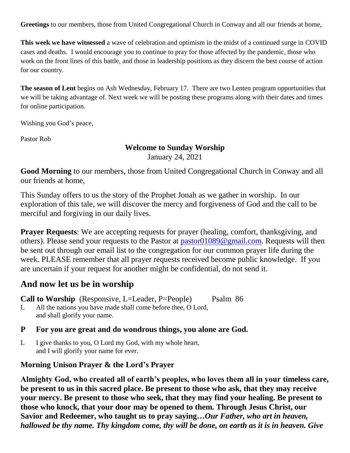**Greetings** to our members, those from United Congregational Church in Conway and all our friends at home,

**This week we have witnessed** a wave of celebration and optimism in the midst of a continued surge in COVID cases and deaths. I would encourage you to continue to pray for those affected by the pandemic, those who work on the front lines of this battle, and those in leadership positions as they discern the best course of action for our country.

**The season of Lent** begins on Ash Wednesday, February 17. There are two Lenten program opportunities that we will be taking advantage of. Next week we will be posting these programs along with their dates and times for online participation.

Wishing you God's peace,

Pastor Rob

# **Welcome to Sunday Worship**

January 24, 2021

**Good Morning** to our members, those from United Congregational Church in Conway and all our friends at home,

This Sunday offers to us the story of the Prophet Jonah as we gather in worship. In our exploration of this tale, we will discover the mercy and forgiveness of God and the call to be merciful and forgiving in our daily lives.

**Prayer Requests**: We are accepting requests for prayer (healing, comfort, thanksgiving, and others). Please send your requests to the Pastor at [pastor01089@gmail.com.](mailto:pastor01089@gmail.com) Requests will then be sent out through our email list to the congregation for our common prayer life during the week. PLEASE remember that all prayer requests received become public knowledge. If you are uncertain if your request for another might be confidential, do not send it.

# **And now let us be in worship**

**Call to Worship** (Responsive, L=Leader, P=People) Psalm 86

- L All the nations you have made shall come before thee, O Lord, and shall glorify your name.
- **P For you are great and do wondrous things, you alone are God.**
- L I give thanks to you, O Lord my God, with my whole heart, and I will glorify your name for ever.

## **Morning Unison Prayer & the Lord's Prayer**

**Almighty God, who created all of earth's peoples, who loves them all in your timeless care, be present to us in this sacred place. Be present to those who ask, that they may receive your mercy. Be present to those who seek, that they may find your healing. Be present to those who knock, that your door may be opened to them. Through Jesus Christ, our Savior and Redeemer, who taught us to pray saying…***Our Father, who art in heaven, hallowed be thy name. Thy kingdom come, thy will be done, on earth as it is in heaven. Give*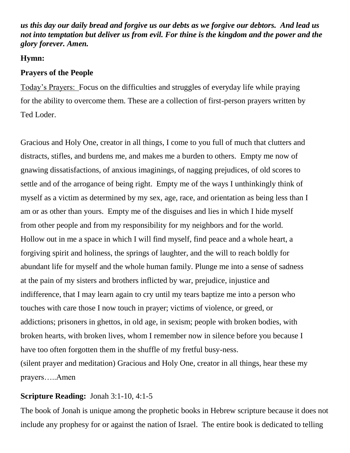*us this day our daily bread and forgive us our debts as we forgive our debtors. And lead us not into temptation but deliver us from evil. For thine is the kingdom and the power and the glory forever. Amen.*

#### **Hymn:**

### **Prayers of the People**

Today's Prayers: Focus on the difficulties and struggles of everyday life while praying for the ability to overcome them. These are a collection of first-person prayers written by Ted Loder.

Gracious and Holy One, creator in all things, I come to you full of much that clutters and distracts, stifles, and burdens me, and makes me a burden to others. Empty me now of gnawing dissatisfactions, of anxious imaginings, of nagging prejudices, of old scores to settle and of the arrogance of being right. Empty me of the ways I unthinkingly think of myself as a victim as determined by my sex, age, race, and orientation as being less than I am or as other than yours. Empty me of the disguises and lies in which I hide myself from other people and from my responsibility for my neighbors and for the world. Hollow out in me a space in which I will find myself, find peace and a whole heart, a forgiving spirit and holiness, the springs of laughter, and the will to reach boldly for abundant life for myself and the whole human family. Plunge me into a sense of sadness at the pain of my sisters and brothers inflicted by war, prejudice, injustice and indifference, that I may learn again to cry until my tears baptize me into a person who touches with care those I now touch in prayer; victims of violence, or greed, or addictions; prisoners in ghettos, in old age, in sexism; people with broken bodies, with broken hearts, with broken lives, whom I remember now in silence before you because I have too often forgotten them in the shuffle of my fretful busy-ness. (silent prayer and meditation) Gracious and Holy One, creator in all things, hear these my prayers…..Amen

### **Scripture Reading:** Jonah 3:1-10, 4:1-5

The book of Jonah is unique among the prophetic books in Hebrew scripture because it does not include any prophesy for or against the nation of Israel. The entire book is dedicated to telling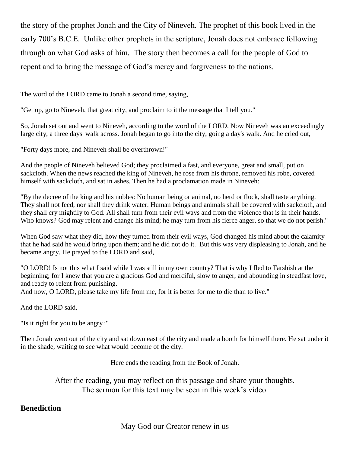the story of the prophet Jonah and the City of Nineveh. The prophet of this book lived in the early 700's B.C.E. Unlike other prophets in the scripture, Jonah does not embrace following through on what God asks of him. The story then becomes a call for the people of God to repent and to bring the message of God's mercy and forgiveness to the nations.

The word of the LORD came to Jonah a second time, saying,

"Get up, go to Nineveh, that great city, and proclaim to it the message that I tell you."

So, Jonah set out and went to Nineveh, according to the word of the LORD. Now Nineveh was an exceedingly large city, a three days' walk across. Jonah began to go into the city, going a day's walk. And he cried out,

"Forty days more, and Nineveh shall be overthrown!"

And the people of Nineveh believed God; they proclaimed a fast, and everyone, great and small, put on sackcloth. When the news reached the king of Nineveh, he rose from his throne, removed his robe, covered himself with sackcloth, and sat in ashes. Then he had a proclamation made in Nineveh:

"By the decree of the king and his nobles: No human being or animal, no herd or flock, shall taste anything. They shall not feed, nor shall they drink water. Human beings and animals shall be covered with sackcloth, and they shall cry mightily to God. All shall turn from their evil ways and from the violence that is in their hands. Who knows? God may relent and change his mind; he may turn from his fierce anger, so that we do not perish."

When God saw what they did, how they turned from their evil ways, God changed his mind about the calamity that he had said he would bring upon them; and he did not do it. But this was very displeasing to Jonah, and he became angry. He prayed to the LORD and said,

"O LORD! Is not this what I said while I was still in my own country? That is why I fled to Tarshish at the beginning; for I knew that you are a gracious God and merciful, slow to anger, and abounding in steadfast love, and ready to relent from punishing.

And now, O LORD, please take my life from me, for it is better for me to die than to live."

And the LORD said,

"Is it right for you to be angry?"

Then Jonah went out of the city and sat down east of the city and made a booth for himself there. He sat under it in the shade, waiting to see what would become of the city.

Here ends the reading from the Book of Jonah.

After the reading, you may reflect on this passage and share your thoughts. The sermon for this text may be seen in this week's video.

## **Benediction**